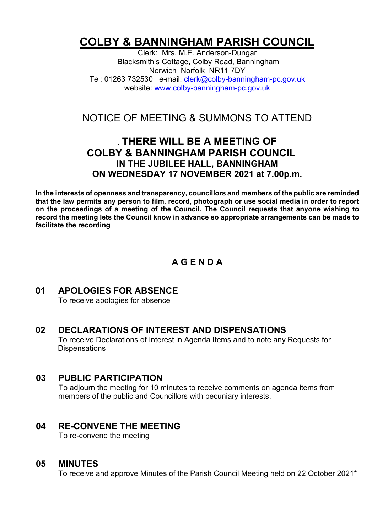# **COLBY & BANNINGHAM PARISH COUNCIL**

Clerk: Mrs. M.E. Anderson-Dungar Blacksmith's Cottage, Colby Road, Banningham Norwich Norfolk NR11 7DY Tel: 01263 732530 e-mail: [clerk@colby-banningham-pc.gov.uk](mailto:clerk@colby-banningham-pc.gov.uk) website: [www.colby-banningham-pc.gov.uk](http://www.colby-banningham-pc.gov.uk/)

# NOTICE OF MEETING & SUMMONS TO ATTEND

# **. THERE WILL BE A MEETING OF COLBY & BANNINGHAM PARISH COUNCIL IN THE JUBILEE HALL, BANNINGHAM ON WEDNESDAY 17 NOVEMBER 2021 at 7.00p.m.**

**In the interests of openness and transparency, councillors and members of the public are reminded that the law permits any person to film, record, photograph or use social media in order to report on the proceedings of a meeting of the Council. The Council requests that anyone wishing to record the meeting lets the Council know in advance so appropriate arrangements can be made to facilitate the recording**.

# **A G E N D A**

# **01 APOLOGIES FOR ABSENCE**

To receive apologies for absence

#### **02 DECLARATIONS OF INTEREST AND DISPENSATIONS** To receive Declarations of Interest in Agenda Items and to note any Requests for **Dispensations**

#### **03 PUBLIC PARTICIPATION**

To adjourn the meeting for 10 minutes to receive comments on agenda items from members of the public and Councillors with pecuniary interests.

# **04 RE-CONVENE THE MEETING**

To re-convene the meeting

#### **05 MINUTES**

To receive and approve Minutes of the Parish Council Meeting held on 22 October 2021\*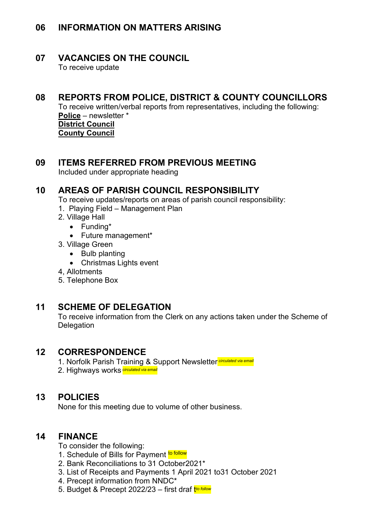# **06 INFORMATION ON MATTERS ARISING**

#### **07 VACANCIES ON THE COUNCIL**

To receive update

# **08 REPORTS FROM POLICE, DISTRICT & COUNTY COUNCILLORS**

To receive written/verbal reports from representatives, including the following: **Police** – newsletter \* **District Council** 

**County Council**

## **09 ITEMS REFERRED FROM PREVIOUS MEETING**

Included under appropriate heading

#### **10 AREAS OF PARISH COUNCIL RESPONSIBILITY**

To receive updates/reports on areas of parish council responsibility:

- 1. Playing Field Management Plan
- 2. Village Hall
	- Funding\*
	- Future management\*
- 3. Village Green
	- Bulb planting
	- Christmas Lights event
- 4, Allotments
- 5. Telephone Box

# **11 SCHEME OF DELEGATION**

To receive information from the Clerk on any actions taken under the Scheme of **Delegation** 

#### **12 CORRESPONDENCE**

1. Norfolk Parish Training & Support Newsletter *circulated via email*

2. Highways works *circulated via email*

#### **13 POLICIES**

None for this meeting due to volume of other business.

# **14 FINANCE**

To consider the following:

- 1. Schedule of Bills for Payment to follow
- 2. Bank Reconciliations to 31 October2021\*
- 3. List of Receipts and Payments 1 April 2021 to31 October 2021
- 4. Precept information from NNDC\*
- 5. Budget & Precept 2022/23 first draf t*to follow*